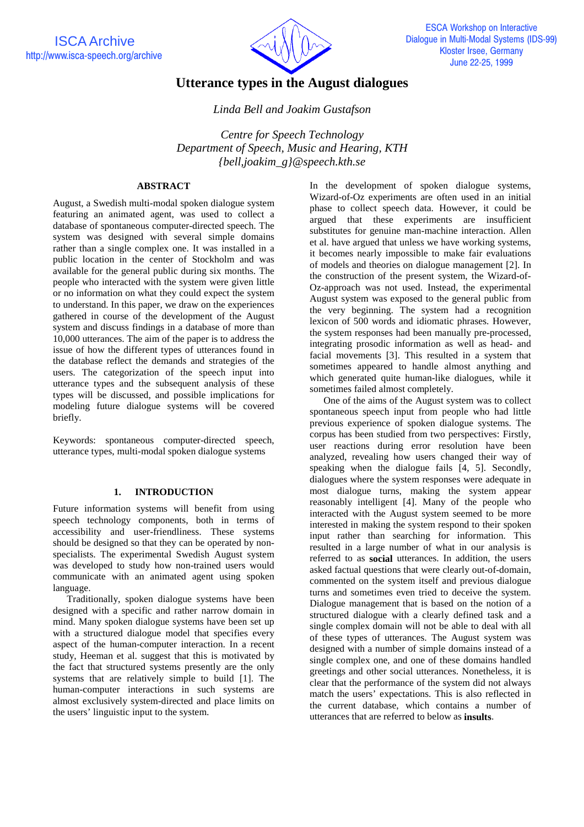

# **Utterance types in the August dialogues**

# *Linda Bell and Joakim Gustafson*

*Centre for Speech Technology Department of Speech, Music and Hearing, KTH {bell,joakim\_g}@speech.kth.se*

# **ABSTRACT**

August, a Swedish multi-modal spoken dialogue system featuring an animated agent, was used to collect a database of spontaneous computer-directed speech. The system was designed with several simple domains rather than a single complex one. It was installed in a public location in the center of Stockholm and was available for the general public during six months. The people who interacted with the system were given little or no information on what they could expect the system to understand. In this paper, we draw on the experiences gathered in course of the development of the August system and discuss findings in a database of more than 10,000 utterances. The aim of the paper is to address the issue of how the different types of utterances found in the database reflect the demands and strategies of the users. The categorization of the speech input into utterance types and the subsequent analysis of these types will be discussed, and possible implications for modeling future dialogue systems will be covered briefly.

Keywords: spontaneous computer-directed speech, utterance types, multi-modal spoken dialogue systems

# **1. INTRODUCTION**

Future information systems will benefit from using speech technology components, both in terms of accessibility and user-friendliness. These systems should be designed so that they can be operated by nonspecialists. The experimental Swedish August system was developed to study how non-trained users would communicate with an animated agent using spoken language.

Traditionally, spoken dialogue systems have been designed with a specific and rather narrow domain in mind. Many spoken dialogue systems have been set up with a structured dialogue model that specifies every aspect of the human-computer interaction. In a recent study, Heeman et al. suggest that this is motivated by the fact that structured systems presently are the only systems that are relatively simple to build [1]. The human-computer interactions in such systems are almost exclusively system-directed and place limits on the users' linguistic input to the system.

In the development of spoken dialogue systems, Wizard-of-Oz experiments are often used in an initial phase to collect speech data. However, it could be argued that these experiments are insufficient substitutes for genuine man-machine interaction. Allen et al. have argued that unless we have working systems, it becomes nearly impossible to make fair evaluations of models and theories on dialogue management [2]. In the construction of the present system, the Wizard-of-Oz-approach was not used. Instead, the experimental August system was exposed to the general public from the very beginning. The system had a recognition lexicon of 500 words and idiomatic phrases. However, the system responses had been manually pre-processed, integrating prosodic information as well as head- and facial movements [3]. This resulted in a system that sometimes appeared to handle almost anything and which generated quite human-like dialogues, while it sometimes failed almost completely.

One of the aims of the August system was to collect spontaneous speech input from people who had little previous experience of spoken dialogue systems. The corpus has been studied from two perspectives: Firstly, user reactions during error resolution have been analyzed, revealing how users changed their way of speaking when the dialogue fails [4, 5]. Secondly, dialogues where the system responses were adequate in most dialogue turns, making the system appear reasonably intelligent [4]. Many of the people who interacted with the August system seemed to be more interested in making the system respond to their spoken input rather than searching for information. This resulted in a large number of what in our analysis is referred to as **social** utterances. In addition, the users asked factual questions that were clearly out-of-domain, commented on the system itself and previous dialogue turns and sometimes even tried to deceive the system. Dialogue management that is based on the notion of a structured dialogue with a clearly defined task and a single complex domain will not be able to deal with all of these types of utterances. The August system was designed with a number of simple domains instead of a single complex one, and one of these domains handled greetings and other social utterances. Nonetheless, it is clear that the performance of the system did not always match the users' expectations. This is also reflected in the current database, which contains a number of utterances that are referred to below as **insults**.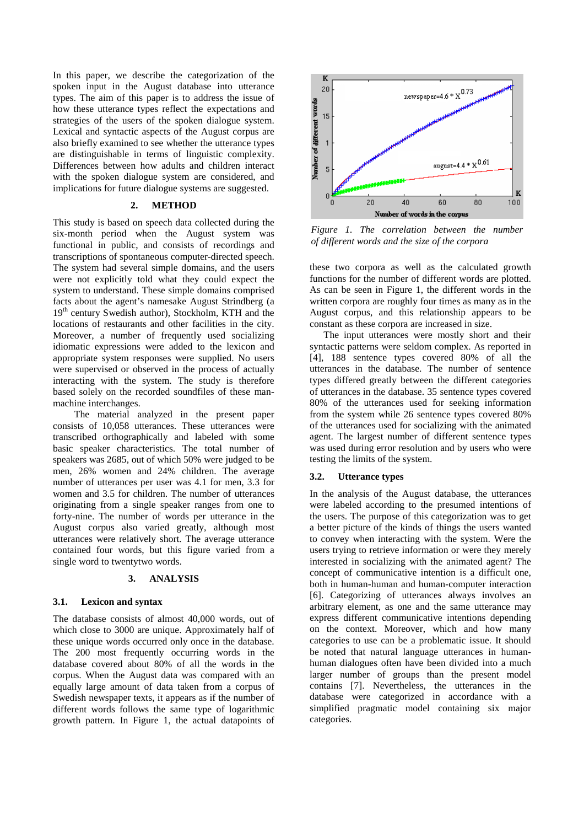In this paper, we describe the categorization of the spoken input in the August database into utterance types. The aim of this paper is to address the issue of how these utterance types reflect the expectations and strategies of the users of the spoken dialogue system. Lexical and syntactic aspects of the August corpus are also briefly examined to see whether the utterance types are distinguishable in terms of linguistic complexity. Differences between how adults and children interact with the spoken dialogue system are considered, and implications for future dialogue systems are suggested.

# **2. METHOD**

This study is based on speech data collected during the six-month period when the August system was functional in public, and consists of recordings and transcriptions of spontaneous computer-directed speech. The system had several simple domains, and the users were not explicitly told what they could expect the system to understand. These simple domains comprised facts about the agent's namesake August Strindberg (a 19<sup>th</sup> century Swedish author), Stockholm, KTH and the locations of restaurants and other facilities in the city. Moreover, a number of frequently used socializing idiomatic expressions were added to the lexicon and appropriate system responses were supplied. No users were supervised or observed in the process of actually interacting with the system. The study is therefore based solely on the recorded soundfiles of these manmachine interchanges.

The material analyzed in the present paper consists of 10,058 utterances. These utterances were transcribed orthographically and labeled with some basic speaker characteristics. The total number of speakers was 2685, out of which 50% were judged to be men, 26% women and 24% children. The average number of utterances per user was 4.1 for men, 3.3 for women and 3.5 for children. The number of utterances originating from a single speaker ranges from one to forty-nine. The number of words per utterance in the August corpus also varied greatly, although most utterances were relatively short. The average utterance contained four words, but this figure varied from a single word to twentytwo words.

#### **3. ANALYSIS**

#### **3.1. Lexicon and syntax**

The database consists of almost 40,000 words, out of which close to 3000 are unique. Approximately half of these unique words occurred only once in the database. The 200 most frequently occurring words in the database covered about 80% of all the words in the corpus. When the August data was compared with an equally large amount of data taken from a corpus of Swedish newspaper texts, it appears as if the number of different words follows the same type of logarithmic growth pattern. In Figure 1, the actual datapoints of



*Figure 1. The correlation between the number of different words and the size of the corpora*

these two corpora as well as the calculated growth functions for the number of different words are plotted. As can be seen in Figure 1, the different words in the written corpora are roughly four times as many as in the August corpus, and this relationship appears to be constant as these corpora are increased in size.

The input utterances were mostly short and their syntactic patterns were seldom complex. As reported in [4], 188 sentence types covered 80% of all the utterances in the database. The number of sentence types differed greatly between the different categories of utterances in the database. 35 sentence types covered 80% of the utterances used for seeking information from the system while 26 sentence types covered 80% of the utterances used for socializing with the animated agent. The largest number of different sentence types was used during error resolution and by users who were testing the limits of the system.

# **3.2. Utterance types**

In the analysis of the August database, the utterances were labeled according to the presumed intentions of the users. The purpose of this categorization was to get a better picture of the kinds of things the users wanted to convey when interacting with the system. Were the users trying to retrieve information or were they merely interested in socializing with the animated agent? The concept of communicative intention is a difficult one, both in human-human and human-computer interaction [6]. Categorizing of utterances always involves an arbitrary element, as one and the same utterance may express different communicative intentions depending on the context. Moreover, which and how many categories to use can be a problematic issue. It should be noted that natural language utterances in humanhuman dialogues often have been divided into a much larger number of groups than the present model contains [7]. Nevertheless, the utterances in the database were categorized in accordance with a simplified pragmatic model containing six major categories.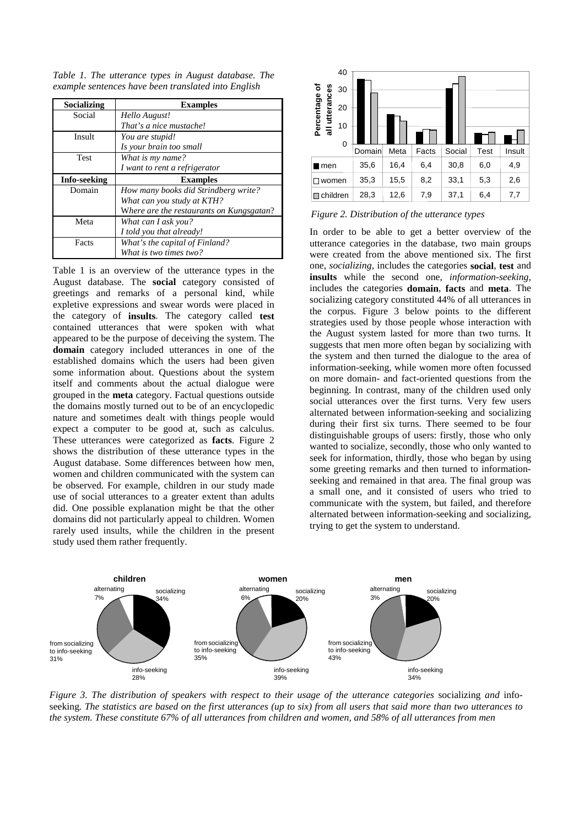*Table 1. The utterance types in August database. The example sentences have been translated into English*

| Socializing  | <b>Examples</b>                          |
|--------------|------------------------------------------|
| Social       | Hello August!                            |
|              | That's a nice mustache!                  |
| Insult       | You are stupid!                          |
|              | Is your brain too small                  |
| <b>Test</b>  | What is my name?                         |
|              | I want to rent a refrigerator            |
| Info-seeking | <b>Examples</b>                          |
| Domain       | How many books did Strindberg write?     |
|              | What can you study at KTH?               |
|              | Where are the restaurants on Kungsgatan? |
| Meta         | What can I ask vou?                      |
|              |                                          |
|              | I told you that already!                 |
| Facts        | What's the capital of Finland?           |

Table 1 is an overview of the utterance types in the August database. The **social** category consisted of greetings and remarks of a personal kind, while expletive expressions and swear words were placed in the category of **insults**. The category called **test** contained utterances that were spoken with what appeared to be the purpose of deceiving the system. The **domain** category included utterances in one of the established domains which the users had been given some information about. Questions about the system itself and comments about the actual dialogue were grouped in the **meta** category. Factual questions outside the domains mostly turned out to be of an encyclopedic nature and sometimes dealt with things people would expect a computer to be good at, such as calculus. These utterances were categorized as **facts**. Figure 2 shows the distribution of these utterance types in the August database. Some differences between how men, women and children communicated with the system can be observed. For example, children in our study made use of social utterances to a greater extent than adults did. One possible explanation might be that the other domains did not particularly appeal to children. Women rarely used insults, while the children in the present study used them rather frequently.





In order to be able to get a better overview of the utterance categories in the database, two main groups were created from the above mentioned six. The first one, *socializing,* includes the categories **social**, **test** and **insults** while the second one, *information-seeking,* includes the categories **domain**, **facts** and **meta**. The socializing category constituted 44% of all utterances in the corpus. Figure 3 below points to the different strategies used by those people whose interaction with the August system lasted for more than two turns. It suggests that men more often began by socializing with the system and then turned the dialogue to the area of information-seeking, while women more often focussed on more domain- and fact-oriented questions from the beginning. In contrast, many of the children used only social utterances over the first turns. Very few users alternated between information-seeking and socializing during their first six turns. There seemed to be four distinguishable groups of users: firstly, those who only wanted to socialize, secondly, those who only wanted to seek for information, thirdly, those who began by using some greeting remarks and then turned to informationseeking and remained in that area. The final group was a small one, and it consisted of users who tried to communicate with the system, but failed, and therefore alternated between information-seeking and socializing, trying to get the system to understand.



*Figure 3. The distribution of speakers with respect to their usage of the utterance categories* socializing *and* infoseeking*. The statistics are based on the first utterances (up to six) from all users that said more than two utterances to the system. These constitute 67% of all utterances from children and women, and 58% of all utterances from men*